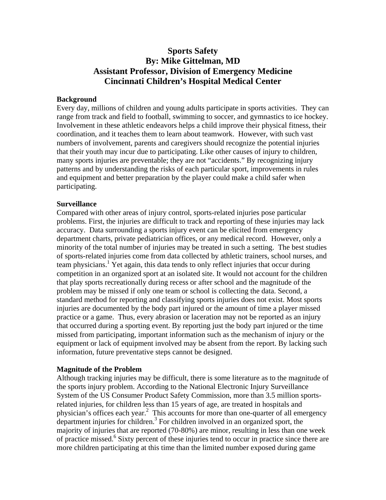# **Sports Safety By: Mike Gittelman, MD Assistant Professor, Division of Emergency Medicine Cincinnati Children's Hospital Medical Center**

# **Background**

Every day, millions of children and young adults participate in sports activities. They can range from track and field to football, swimming to soccer, and gymnastics to ice hockey. Involvement in these athletic endeavors helps a child improve their physical fitness, their coordination, and it teaches them to learn about teamwork. However, with such vast numbers of involvement, parents and caregivers should recognize the potential injuries that their youth may incur due to participating. Like other causes of injury to children, many sports injuries are preventable; they are not "accidents." By recognizing injury patterns and by understanding the risks of each particular sport, improvements in rules and equipment and better preparation by the player could make a child safer when participating.

# **Surveillance**

Compared with other areas of injury control, sports-related injuries pose particular problems. First, the injuries are difficult to track and reporting of these injuries may lack accuracy. Data surrounding a sports injury event can be elicited from emergency department charts, private pediatrician offices, or any medical record. However, only a minority of the total number of injuries may be treated in such a setting. The best studies of sports-related injuries come from data collected by athletic trainers, school nurses, and team physicians.<sup>1</sup> Yet again, this data tends to only reflect injuries that occur during competition in an organized sport at an isolated site. It would not account for the children that play sports recreationally during recess or after school and the magnitude of the problem may be missed if only one team or school is collecting the data. Second, a standard method for reporting and classifying sports injuries does not exist. Most sports injuries are documented by the body part injured or the amount of time a player missed practice or a game. Thus, every abrasion or laceration may not be reported as an injury that occurred during a sporting event. By reporting just the body part injured or the time missed from participating, important information such as the mechanism of injury or the equipment or lack of equipment involved may be absent from the report. By lacking such information, future preventative steps cannot be designed.

### **Magnitude of the Problem**

Although tracking injuries may be difficult, there is some literature as to the magnitude of the sports injury problem. According to the National Electronic Injury Surveillance System of the US Consumer Product Safety Commission, more than 3.5 million sportsrelated injuries, for children less than 15 years of age, are treated in hospitals and physician's offices each year.<sup>2</sup> This accounts for more than one-quarter of all emergency  $\frac{1}{2}$  department injuries for children.<sup>3</sup> For children involved in an organized sport, the majority of injuries that are reported (70-80%) are minor, resulting in less than one week of practice missed.<sup>6</sup> Sixty percent of these injuries tend to occur in practice since there are more children participating at this time than the limited number exposed during game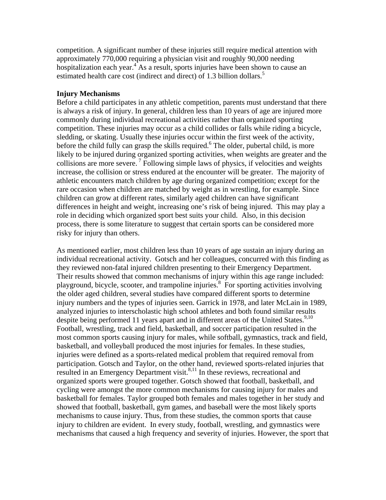competition. A significant number of these injuries still require medical attention with approximately 770,000 requiring a physician visit and roughly 90,000 needing hospitalization each year.<sup>4</sup> As a result, sports injuries have been shown to cause an estimated health care cost (indirect and direct) of 1.3 billion dollars.<sup>5</sup>

# **Injury Mechanisms**

Before a child participates in any athletic competition, parents must understand that there is always a risk of injury. In general, children less than 10 years of age are injured more commonly during individual recreational activities rather than organized sporting competition. These injuries may occur as a child collides or falls while riding a bicycle, sledding, or skating. Usually these injuries occur within the first week of the activity, before the child fully can grasp the skills required.<sup>6</sup> The older, pubertal child, is more likely to be injured during organized sporting activities, when weights are greater and the collisions are more severe. 7 Following simple laws of physics, if velocities and weights increase, the collision or stress endured at the encounter will be greater. The majority of athletic encounters match children by age during organized competition; except for the rare occasion when children are matched by weight as in wrestling, for example. Since children can grow at different rates, similarly aged children can have significant differences in height and weight, increasing one's risk of being injured. This may play a role in deciding which organized sport best suits your child. Also, in this decision process, there is some literature to suggest that certain sports can be considered more risky for injury than others.

As mentioned earlier, most children less than 10 years of age sustain an injury during an individual recreational activity. Gotsch and her colleagues, concurred with this finding as they reviewed non-fatal injured children presenting to their Emergency Department. Their results showed that common mechanisms of injury within this age range included: playground, bicycle, scooter, and trampoline injuries.<sup>8</sup> For sporting activities involving the older aged children, several studies have compared different sports to determine injury numbers and the types of injuries seen. Garrick in 1978, and later McLain in 1989, analyzed injuries to interscholastic high school athletes and both found similar results despite being performed 11 years apart and in different areas of the United States.<sup>9,10</sup> Football, wrestling, track and field, basketball, and soccer participation resulted in the most common sports causing injury for males, while softball, gymnastics, track and field, basketball, and volleyball produced the most injuries for females. In these studies, injuries were defined as a sports-related medical problem that required removal from participation. Gotsch and Taylor, on the other hand, reviewed sports-related injuries that resulted in an Emergency Department visit. $8,11$  In these reviews, recreational and organized sports were grouped together. Gotsch showed that football, basketball, and cycling were amongst the more common mechanisms for causing injury for males and basketball for females. Taylor grouped both females and males together in her study and showed that football, basketball, gym games, and baseball were the most likely sports mechanisms to cause injury. Thus, from these studies, the common sports that cause injury to children are evident. In every study, football, wrestling, and gymnastics were mechanisms that caused a high frequency and severity of injuries. However, the sport that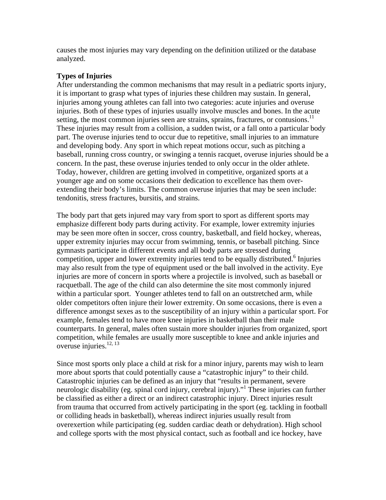causes the most injuries may vary depending on the definition utilized or the database analyzed.

# **Types of Injuries**

After understanding the common mechanisms that may result in a pediatric sports injury, it is important to grasp what types of injuries these children may sustain. In general, injuries among young athletes can fall into two categories: acute injuries and overuse injuries. Both of these types of injuries usually involve muscles and bones. In the acute setting, the most common injuries seen are strains, sprains, fractures, or contusions.<sup>11</sup> These injuries may result from a collision, a sudden twist, or a fall onto a particular body part. The overuse injuries tend to occur due to repetitive, small injuries to an immature and developing body. Any sport in which repeat motions occur, such as pitching a baseball, running cross country, or swinging a tennis racquet, overuse injuries should be a concern. In the past, these overuse injuries tended to only occur in the older athlete. Today, however, children are getting involved in competitive, organized sports at a younger age and on some occasions their dedication to excellence has them overextending their body's limits. The common overuse injuries that may be seen include: tendonitis, stress fractures, bursitis, and strains.

The body part that gets injured may vary from sport to sport as different sports may emphasize different body parts during activity. For example, lower extremity injuries may be seen more often in soccer, cross country, basketball, and field hockey, whereas, upper extremity injuries may occur from swimming, tennis, or baseball pitching. Since gymnasts participate in different events and all body parts are stressed during  $\frac{1}{2}$  competition, upper and lower extremity injuries tend to be equally distributed.<sup>6</sup> Injuries may also result from the type of equipment used or the ball involved in the activity. Eye injuries are more of concern in sports where a projectile is involved, such as baseball or racquetball. The age of the child can also determine the site most commonly injured within a particular sport. Younger athletes tend to fall on an outstretched arm, while older competitors often injure their lower extremity. On some occasions, there is even a difference amongst sexes as to the susceptibility of an injury within a particular sport. For example, females tend to have more knee injuries in basketball than their male counterparts. In general, males often sustain more shoulder injuries from organized, sport competition, while females are usually more susceptible to knee and ankle injuries and overuse injuries. $12, 13$ 

Since most sports only place a child at risk for a minor injury, parents may wish to learn more about sports that could potentially cause a "catastrophic injury" to their child. Catastrophic injuries can be defined as an injury that "results in permanent, severe neurologic disability (eg. spinal cord injury, cerebral injury)."<sup>1</sup> These injuries can further be classified as either a direct or an indirect catastrophic injury. Direct injuries result from trauma that occurred from actively participating in the sport (eg. tackling in football or colliding heads in basketball), whereas indirect injuries usually result from overexertion while participating (eg. sudden cardiac death or dehydration). High school and college sports with the most physical contact, such as football and ice hockey, have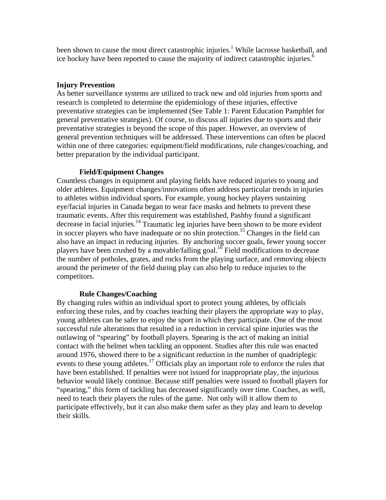been shown to cause the most direct catastrophic injuries.<sup>1</sup> While lacrosse basketball, and ice hockey have been reported to cause the majority of indirect catastrophic injuries.<sup>6</sup>

# **Injury Prevention**

As better surveillance systems are utilized to track new and old injuries from sports and research is completed to determine the epidemiology of these injuries, effective preventative strategies can be implemented (See Table 1: Parent Education Pamphlet for general preventative strategies). Of course, to discuss all injuries due to sports and their preventative strategies is beyond the scope of this paper. However, an overview of general prevention techniques will be addressed. These interventions can often be placed within one of three categories: equipment/field modifications, rule changes/coaching, and better preparation by the individual participant.

# **Field/Equipment Changes**

Countless changes in equipment and playing fields have reduced injuries to young and older athletes. Equipment changes/innovations often address particular trends in injuries to athletes within individual sports. For example, young hockey players sustaining eye/facial injuries in Canada began to wear face masks and helmets to prevent these traumatic events. After this requirement was established, Pashby found a significant decrease in facial injuries.<sup>14</sup> Traumatic leg injuries have been shown to be more evident in soccer players who have inadequate or no shin protection.<sup>15</sup> Changes in the field can also have an impact in reducing injuries. By anchoring soccer goals, fewer young soccer players have been crushed by a movable/falling goal.<sup>16</sup> Field modifications to decrease the number of potholes, grates, and rocks from the playing surface, and removing objects around the perimeter of the field during play can also help to reduce injuries to the competitors.

# **Rule Changes/Coaching**

By changing rules within an individual sport to protect young athletes, by officials enforcing these rules, and by coaches teaching their players the appropriate way to play, young athletes can be safer to enjoy the sport in which they participate. One of the most successful rule alterations that resulted in a reduction in cervical spine injuries was the outlawing of "spearing" by football players. Spearing is the act of making an initial contact with the helmet when tackling an opponent. Studies after this rule was enacted around 1976, showed there to be a significant reduction in the number of quadriplegic events to these young athletes.<sup>17</sup> Officials play an important role to enforce the rules that have been established. If penalties were not issued for inappropriate play, the injurious behavior would likely continue. Because stiff penalties were issued to football players for "spearing," this form of tackling has decreased significantly over time. Coaches, as well, need to teach their players the rules of the game. Not only will it allow them to participate effectively, but it can also make them safer as they play and learn to develop their skills.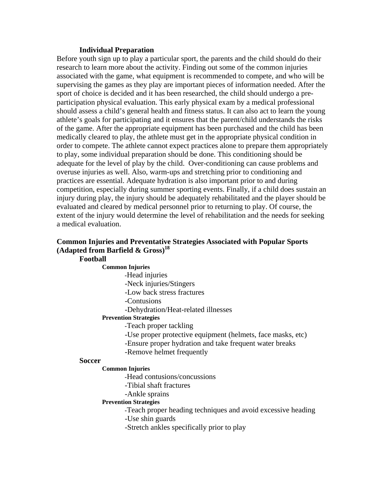### **Individual Preparation**

Before youth sign up to play a particular sport, the parents and the child should do their research to learn more about the activity. Finding out some of the common injuries associated with the game, what equipment is recommended to compete, and who will be supervising the games as they play are important pieces of information needed. After the sport of choice is decided and it has been researched, the child should undergo a preparticipation physical evaluation. This early physical exam by a medical professional should assess a child's general health and fitness status. It can also act to learn the young athlete's goals for participating and it ensures that the parent/child understands the risks of the game. After the appropriate equipment has been purchased and the child has been medically cleared to play, the athlete must get in the appropriate physical condition in order to compete. The athlete cannot expect practices alone to prepare them appropriately to play, some individual preparation should be done. This conditioning should be adequate for the level of play by the child. Over-conditioning can cause problems and overuse injuries as well. Also, warm-ups and stretching prior to conditioning and practices are essential. Adequate hydration is also important prior to and during competition, especially during summer sporting events. Finally, if a child does sustain an injury during play, the injury should be adequately rehabilitated and the player should be evaluated and cleared by medical personnel prior to returning to play. Of course, the extent of the injury would determine the level of rehabilitation and the needs for seeking a medical evaluation.

# **Common Injuries and Preventative Strategies Associated with Popular Sports (Adapted from Barfield & Gross)18**

# **Football**

# **Common Injuries**

 **-**Head injuries

-Neck injuries/Stingers

-Low back stress fractures

-Contusions

-Dehydration/Heat-related illnesses

### **Prevention Strategies**

 **-**Teach proper tackling

-Use proper protective equipment (helmets, face masks, etc)

-Ensure proper hydration and take frequent water breaks

-Remove helmet frequently

# **Soccer Common Injuries**

 **-**Head contusions/concussions

-Tibial shaft fractures

-Ankle sprains

#### **Prevention Strategies**

 **-**Teach proper heading techniques and avoid excessive heading -Use shin guards

-Stretch ankles specifically prior to play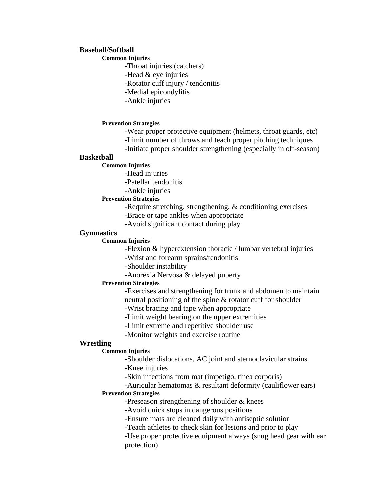# **Baseball/Softball Common Injuries**

-Throat injuries (catchers)

-Head & eye injuries

-Rotator cuff injury / tendonitis

- -Medial epicondylitis
- -Ankle injuries

#### **Prevention Strategies**

- -Wear proper protective equipment (helmets, throat guards, etc)
- -Limit number of throws and teach proper pitching techniques
- -Initiate proper shoulder strengthening (especially in off-season)

### **Basketball**

- **Common Injuries** 
	- -Head injuries

-Patellar tendonitis

-Ankle injuries

#### **Prevention Strategies**

- -Require stretching, strengthening, & conditioning exercises
- -Brace or tape ankles when appropriate
- -Avoid significant contact during play

# **Gymnastics**

#### **Common Injuries**

-Flexion & hyperextension thoracic / lumbar vertebral injuries

-Wrist and forearm sprains/tendonitis

-Shoulder instability

-Anorexia Nervosa & delayed puberty

#### **Prevention Strategies**

-Exercises and strengthening for trunk and abdomen to maintain neutral positioning of the spine & rotator cuff for shoulder

-Wrist bracing and tape when appropriate

-Limit weight bearing on the upper extremities

-Limit extreme and repetitive shoulder use

-Monitor weights and exercise routine

# **Wrestling**

# **Common Injuries**

-Shoulder dislocations, AC joint and sternoclavicular strains

-Knee injuries

-Skin infections from mat (impetigo, tinea corporis)

-Auricular hematomas & resultant deformity (cauliflower ears)

# **Prevention Strategies**

-Preseason strengthening of shoulder & knees

-Avoid quick stops in dangerous positions

-Ensure mats are cleaned daily with antiseptic solution

-Teach athletes to check skin for lesions and prior to play

-Use proper protective equipment always (snug head gear with ear protection)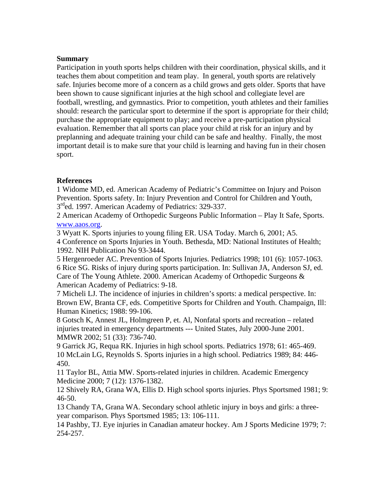# **Summary**

Participation in youth sports helps children with their coordination, physical skills, and it teaches them about competition and team play. In general, youth sports are relatively safe. Injuries become more of a concern as a child grows and gets older. Sports that have been shown to cause significant injuries at the high school and collegiate level are football, wrestling, and gymnastics. Prior to competition, youth athletes and their families should: research the particular sport to determine if the sport is appropriate for their child; purchase the appropriate equipment to play; and receive a pre-participation physical evaluation. Remember that all sports can place your child at risk for an injury and by preplanning and adequate training your child can be safe and healthy. Finally, the most important detail is to make sure that your child is learning and having fun in their chosen sport.

# **References**

1 Widome MD, ed. American Academy of Pediatric's Committee on Injury and Poison Prevention. Sports safety. In: Injury Prevention and Control for Children and Youth, 3<sup>rd</sup>ed. 1997. American Academy of Pediatrics: 329-337.

2 American Academy of Orthopedic Surgeons Public Information – Play It Safe, Sports. [www.aaos.org](http://www.aaos.org/).

3 Wyatt K. Sports injuries to young filing ER. USA Today. March 6, 2001; A5. 4 Conference on Sports Injuries in Youth. Bethesda, MD: National Institutes of Health; 1992. NIH Publication No 93-3444.

5 Hergenroeder AC. Prevention of Sports Injuries. Pediatrics 1998; 101 (6): 1057-1063. 6 Rice SG. Risks of injury during sports participation. In: Sullivan JA, Anderson SJ, ed. Care of The Young Athlete. 2000. American Academy of Orthopedic Surgeons & American Academy of Pediatrics: 9-18.

7 Micheli LJ. The incidence of injuries in children's sports: a medical perspective. In: Brown EW, Branta CF, eds. Competitive Sports for Children and Youth. Champaign, Ill: Human Kinetics; 1988: 99-106.

8 Gotsch K, Annest JL, Holmgreen P, et. Al, Nonfatal sports and recreation – related injuries treated in emergency departments --- United States, July 2000-June 2001. MMWR 2002; 51 (33): 736-740.

9 Garrick JG, Requa RK. Injuries in high school sports. Pediatrics 1978; 61: 465-469. 10 McLain LG, Reynolds S. Sports injuries in a high school. Pediatrics 1989; 84: 446- 450.

11 Taylor BL, Attia MW. Sports-related injuries in children. Academic Emergency Medicine 2000; 7 (12): 1376-1382.

12 Shively RA, Grana WA, Ellis D. High school sports injuries. Phys Sportsmed 1981; 9: 46-50.

13 Chandy TA, Grana WA. Secondary school athletic injury in boys and girls: a threeyear comparison. Phys Sportsmed 1985; 13: 106-111.

14 Pashby, TJ. Eye injuries in Canadian amateur hockey. Am J Sports Medicine 1979; 7: 254-257.